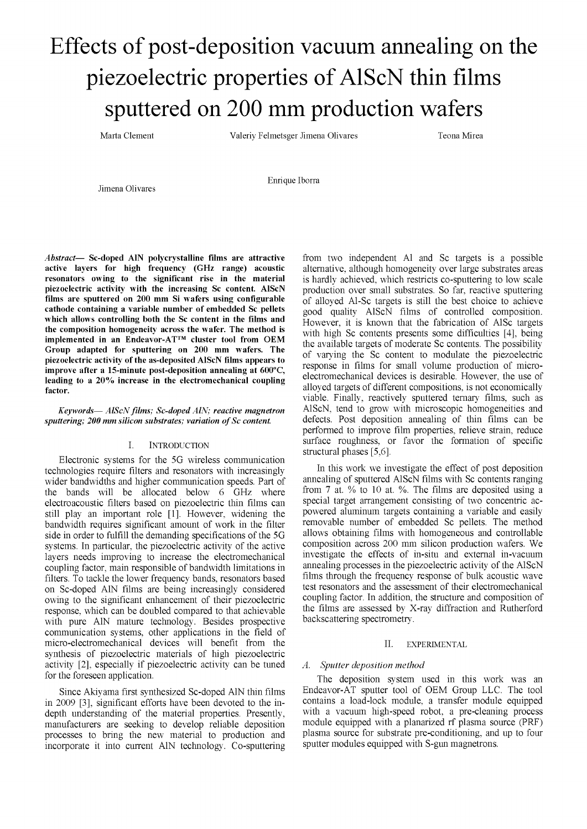# Effects of post-deposition vacuum annealing on the piezoelectric properties of AlScN thin films sputtered on 200 mm production wafers

Marta Clement Valeriy Felmetsger Jimena Olivares Teona Mirea

Jimena Olivares

Enrique Iborra

*Abstract*— **Sc-doped A1N polycrystalline films are attractive active layers for high frequency (GHz range) acoustic resonators owing to the significant rise in the material piezoelectric activity with the increasing Sc content. AlScN films are sputtered on 200 mm Si wafers using configurable cathode containing a variable number of embedded Sc pellets which allows controlling both the Sc content in the films and the composition homogeneity across the wafer. The method is implemented in an Endeavor-AT™ cluster tool from OEM Group adapted for sputtering on 200 mm wafers. The piezoelectric activity of the as-deposited AlScN films appears to improve after a 15-minute post-deposition annealing at 600°C, leading to a 20% increase in the electromechanical coupling factor.** 

*Keywords*— *AlScN films; Sc-doped AIN; reactive magnetron sputtering;* 200 mm silicon substrates; variation of Sc content.

### I. INTRODUCTION

Electronic systems for the 5G wireless communication technologies require filters and resonators with increasingly wider bandwidths and higher communication speeds. Part of the bands will be allocated below 6 GHz where electroacoustic filters based on piezoelectric thin films can still play an important role [1], However, widening the bandwidth requires significant amount of work in the filter side in order to fulfill the demanding specifications of the 5G systems. In particular, the piezoelectric activity of the active layers needs improving to increase the electromechanical coupling factor, main responsible of bandwidth limitations in filters. To tackle the lower frequency bands, resonators based on Sc-doped AIN films are being increasingly considered owing to the significant enhancement of their piezoelectric response, which can be doubled compared to that achievable with pure AIN mature technology. Besides prospective communication systems, other applications in the field of micro-electromechanical devices will benefit from the synthesis of piezoelectric materials of high piezoelectric activity [2], especially if piezoelectric activity can be tuned for the foreseen application.

Since Akiyama first synthesized Sc-doped AIN thin films in 2009 [3], significant efforts have been devoted to the indepth understanding of the material properties. Presently, manufacturers are seeking to develop reliable deposition processes to bring the new material to production and incorporate it into current AIN technology. Co-sputtering from two independent Al and Sc targets is a possible alternative, although homogeneity over large substrates areas is hardly achieved, which restricts co-sputtering to low scale production over small substrates. So far, reactive sputtering of alloyed Al-Sc targets is still the best choice to achieve good quality AlScN films of controlled composition. However, it is known that the fabrication of AISc targets with high Sc contents presents some difficulties [4], being the available targets of moderate Sc contents. The possibility of varying the Sc content to modulate the piezoelectric response in films for small volume production of microelectromechanical devices is desirable. However, the use of alloyed targets of different compositions, is not economically viable. Finally, reactively sputtered ternary films, such as AlScN, tend to grow with microscopic homogeneities and defects. Post deposition annealing of thin films can be performed to improve film properties, relieve strain, reduce surface roughness, or favor the formation of specific structural phases [5,6].

In this work we investigate the effect of post deposition annealing of sputtered AlScN films with Sc contents ranging from 7 at. % to 10 at. %. The films are deposited using a special target arrangement consisting of two concentric acpowered aluminum targets containing a variable and easily removable number of embedded Sc pellets. The method allows obtaining films with homogeneous and controllable composition across 200 mm silicon production wafers. We investigate the effects of in-situ and external in-vacuum annealing processes in the piezoelectric activity of the AlScN films through the frequency response of bulk acoustic wave test resonators and the assessment of their electromechanical coupling factor. In addition, the structure and composition of the films are assessed by X-ray diffraction and Rutherford backscattering spectrometry.

#### II. EXPERIMENTAL

# *A. Sputter deposition method*

The deposition system used in this work was an Endeavor-AT sputter tool of OEM Group LLC. The tool contains a load-lock module, a transfer module equipped with a vacuum high-speed robot, a pre-cleaning process module equipped with a planarized rf plasma source (PRF) plasma source for substrate pre-conditioning, and up to four sputter modules equipped with S-gun magnetrons.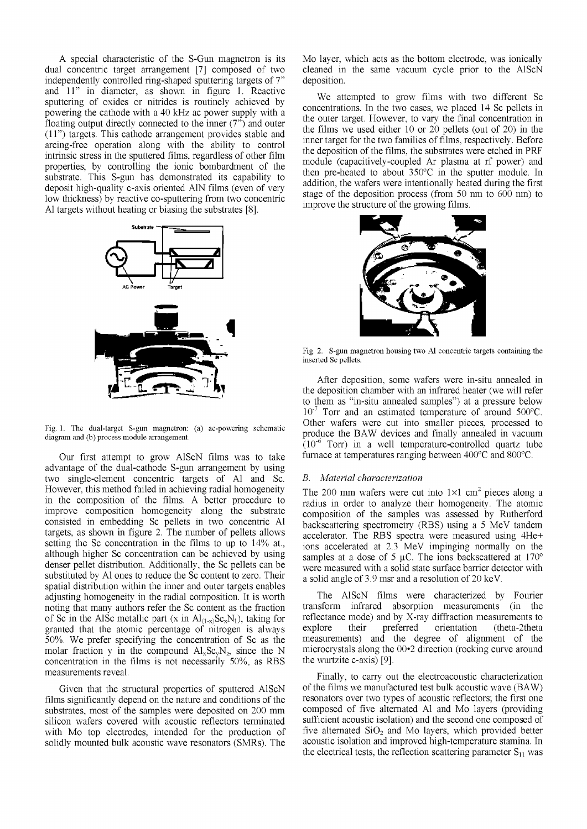A special characteristic of the S-Gun magnetron is its dual concentric target arrangement [7] composed of two independently controlled ring-shaped sputtering targets of 7" and 11" in diameter, as shown in figure 1. Reactive sputtering of oxides or nitrides is routinely achieved by powering the cathode with a 40 kHz ac power supply with a floating output directly connected to the inner (7") and outer (11") targets. This cathode arrangement provides stable and arcing-free operation along with the ability to control intrinsic stress in the sputtered films, regardless of other film properties, by controlling the ionic bombardment of the substrate. This S-gun has demonstrated its capability to deposit high-quality c-axis oriented A1N films (even of very low thickness) by reactive co-sputtering from two concentric Al targets without heating or biasing the substrates [8],





Our first attempt to grow AlScN films was to take advantage of the dual-cathode S-gun arrangement by using two single-element concentric targets of Al and Sc. However, this method failed in achieving radial homogeneity in the composition of the films. A better procedure to improve composition homogeneity along the substrate consisted in embedding Sc pellets in two concentric Al targets, as shown in figure 2. The number of pellets allows setting the Sc concentration in the films to up to 14% at., although higher Sc concentration can be achieved by using denser pellet distribution. Additionally, the Sc pellets can be substituted by Al ones to reduce the Sc content to zero. Their spatial distribution within the inner and outer targets enables adjusting homogeneity in the radial composition. It is worth noting that many authors refer the Sc content as the fraction of Sc in the AISc metallic part (x in  $Al_{(1-x)}Sc_xN_1$ ), taking for granted that the atomic percentage of nitrogen is always 50%. We prefer specifying the concentration of Sc as the molar fraction y in the compound  $AI_xSc_yN_z$ , since the N concentration in the films is not necessarily  $50\%$ , as RBS measurements reveal.

Given that the structural properties of sputtered AlScN films significantly depend on the nature and conditions of the substrates, most of the samples were deposited on 200 mm silicon wafers covered with acoustic reflectors terminated with Mo top electrodes, intended for the production of solidly mounted bulk acoustic wave resonators (SMRs). The Mo layer, which acts as the bottom electrode, was ionically cleaned in the same vacuum cycle prior to the AlScN deposition.

We attempted to grow films with two different Sc concentrations. In the two cases, we placed 14 Sc pellets in the outer target. However, to vary the final concentration in the films we used either 10 or 20 pellets (out of 20) in the inner target for the two families of films, respectively. Before the deposition of the films, the substrates were etched in PRF module (capacitively-coupled Ar plasma at rf power) and then pre-heated to about 350°C in the sputter module. In addition, the wafers were intentionally heated during the first stage of the deposition process (from 50 nm to 600 nm) to improve the structure of the growing films.



Fig. 2. S-gun magnetron housing two Al concentric targets containing the inserted Sc pellets.

After deposition, some wafers were in-situ annealed in the deposition chamber with an infrared heater (we will refer to them as "in-situ annealed samples") at a pressure below  $10^{-7}$  Torr and an estimated temperature of around 500 $^{\circ}$ C. Other wafers were cut into smaller pieces, processed to produce the BAW devices and finally annealed in vacuum  $(10^{-6}$  Torr) in a well temperature-controlled quartz tube furnace at temperatures ranging between 400°C and 800°C.

## *B. Material characterization*

The 200 mm wafers were cut into  $1\times1$  cm<sup>2</sup> pieces along a radius in order to analyze their homogeneity. The atomic composition of the samples was assessed by Rutherford backscattering spectrometry (RBS) using a 5 MeV tandem accelerator. The RBS spectra were measured using 4He+ ions accelerated at 2.3 MeV impinging normally on the samples at a dose of 5  $\mu$ C. The ions backscattered at 170 $^{\circ}$ were measured with a solid state surface barrier detector with a solid angle of 3.9 msr and a resolution of 20 keV.

The AlScN films were characterized by Fourier transform infrared absorption measurements (in the reflectance mode) and by X-ray diffraction measurements to explore their preferred orientation (theta-2theta measurements) and the degree of alignment of the microcrystals along the 00\*2 direction (rocking curve around the wurtzite c-axis) [9],

Finally, to carry out the electroacoustic characterization of the films we manufactured test bulk acoustic wave (BAW) resonators over two types of acoustic reflectors; the first one composed of five alternated Al and Mo layers (providing sufficient acoustic isolation) and the second one composed of five alternated  $SiO<sub>2</sub>$  and Mo layers, which provided better acoustic isolation and improved high-temperature stamina. In the electrical tests, the reflection scattering parameter  $S_{11}$  was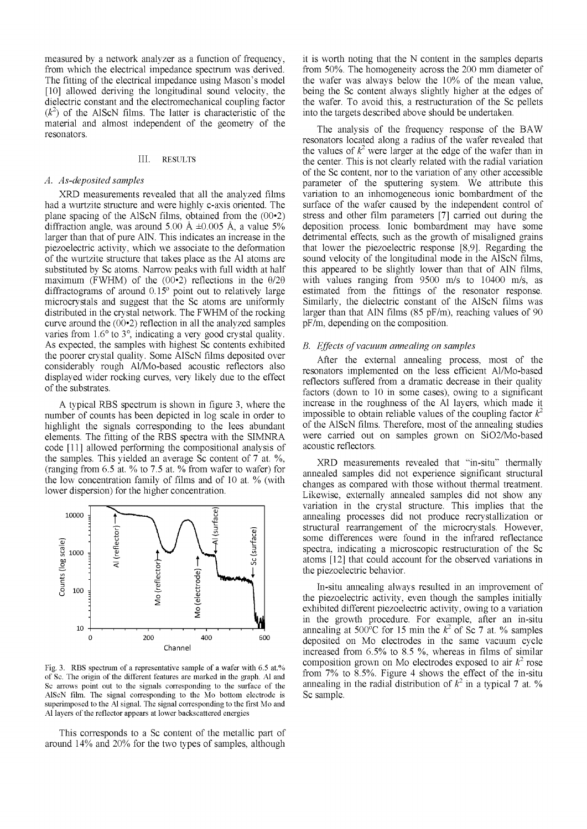measured by a network analyzer as a function of frequency, from which the electrical impedance spectrum was derived. The fitting of the electrical impedance using Mason's model [10] allowed deriving the longitudinal sound velocity, the dielectric constant and the electromechanical coupling factor  $(k<sup>2</sup>)$  of the AlScN films. The latter is characteristic of the material and almost independent of the geometry of the resonators.

## III. RESULTS

#### *A. As-deposited samples*

XRD measurements revealed that all the analyzed films had a wurtzite structure and were highly c-axis oriented. The plane spacing of the AlScN films, obtained from the  $(00\cdot 2)$ diffraction angle, was around 5.00 Å  $\pm 0.005$  Å, a value 5% larger than that of pure A1N. This indicates an increase in the piezoelectric activity, which we associate to the deformation of the wurtzite structure that takes place as the Al atoms are substituted by Sc atoms. Narrow peaks with full width at half maximum (FWHM) of the  $(00\text{-}2)$  reflections in the  $\theta/2\theta$ diffractograms of around 0.15° point out to relatively large microcrystals and suggest that the Sc atoms are uniformly distributed in the crystal network. The FWHM of the rocking curve around the  $(00\text{-}2)$  reflection in all the analyzed samples varies from 1.6° to 3°, indicating a very good crystal quality. As expected, the samples with highest Sc contents exhibited the poorer crystal quality. Some AlScN films deposited over considerably rough Al/Mo-based acoustic reflectors also displayed wider rocking curves, very likely due to the effect of the substrates.

A typical RBS spectrum is shown in figure 3, where the number of counts has been depicted in log scale in order to highlight the signals corresponding to the lees abundant elements. The fitting of the RBS spectra with the SIMNRA code [11] allowed performing the compositional analysis of the samples. This yielded an average Sc content of 7 at. %, (ranging from 6.5 at. % to 7.5 at. % from wafer to wafer) for the low concentration family of films and of 10 at. % (with lower dispersion) for the higher concentration.



Fig. 3. RBS spectrum of a representative sample of a wafer with 6.5 at.% of Sc. The origin of the different features are marked in the graph. Al and Sc arrows point out to the signals corresponding to the surface of the AlScN film. The signal corresponding to the Mo bottom electrode is superimposed to the Al signal. The signal corresponding to the first Mo and Al layers of the reflector appears at lower backscattered energies

This corresponds to a Sc content of the metallic part of around 14% and 20% for the two types of samples, although it is worth noting that the N content in the samples departs from 50%. The homogeneity across the 200 mm diameter of the wafer was always below the 10% of the mean value, being the Sc content always slightly higher at the edges of the wafer. To avoid this, a restructuration of the Sc pellets into the targets described above should be undertaken.

The analysis of the frequency response of the BAW resonators located along a radius of the wafer revealed that the values of  $k^2$  were larger at the edge of the wafer than in the center. This is not clearly related with the radial variation of the Sc content, nor to the variation of any other accessible parameter of the sputtering system. We attribute this variation to an inhomogeneous ionic bombardment of the surface of the wafer caused by the independent control of stress and other film parameters [7] carried out during the deposition process. Ionic bombardment may have some detrimental effects, such as the growth of misaligned grains that lower the piezoelectric response [8,9]. Regarding the sound velocity of the longitudinal mode in the AlScN films, this appeared to be slightly lower than that of A1N films, with values ranging from 9500 m/s to 10400 m/s, as estimated from the fittings of the resonator response. Similarly, the dielectric constant of the AlScN films was larger than that A1N films (85 pF/m), reaching values of 90 pF/m, depending on the composition.

## *B. Effects of vacuum annealing on samples*

After the external annealing process, most of the resonators implemented on the less efficient Al/Mo-based reflectors suffered from a dramatic decrease in their quality factors (down to 10 in some cases), owing to a significant increase in the roughness of the Al layers, which made it impossible to obtain reliable values of the coupling factor  $k^2$ of the AlScN films. Therefore, most of the annealing studies were carried out on samples grown on Si02/Mo-based acoustic reflectors.

XRD measurements revealed that "in-situ" thermally annealed samples did not experience significant structural changes as compared with those without thermal treatment. Likewise, externally annealed samples did not show any variation in the crystal structure. This implies that the annealing processes did not produce recrystallization or structural rearrangement of the microcrystals. However, some differences were found in the infrared reflectance spectra, indicating a microscopic restructuration of the Sc atoms [12] that could account for the observed variations in the piezoelectric behavior.

In-situ annealing always resulted in an improvement of the piezoelectric activity, even though the samples initially exhibited different piezoelectric activity, owing to a variation in the growth procedure. For example, after an in-situ annealing at 500<sup>o</sup>C for 15 min the  $k^2$  of Sc 7 at. % samples deposited on Mo electrodes in the same vacuum cycle increased from  $6.5\%$  to  $8.5\%$ , whereas in films of similar composition grown on Mo electrodes exposed to air  $k^2$  rose from  $7\%$  to  $8.5\%$ . Figure 4 shows the effect of the in-situ annealing in the radial distribution of  $k^2$  in a typical 7 at. % Sc sample.